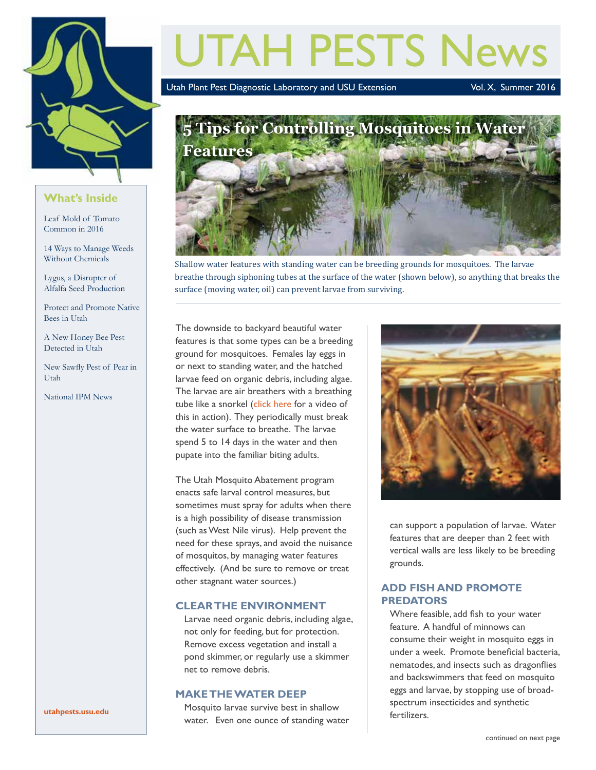

### **What's Inside**

Leaf Mold of Tomato Common in 2016

14 Ways to Manage Weeds Without Chemicals

Lygus, a Disrupter of Alfalfa Seed Production

Protect and Promote Native Bees in Utah

A New Honey Bee Pest Detected in Utah

New Sawfly Pest of Pear in Utah

National IPM News

# UTAH PESTS News

Utah Plant Pest Diagnostic Laboratory and USU Extension Vol. X, Summer 2016



Shallow water features with standing water can be breeding grounds for mosquitoes. The larvae breathe through siphoning tubes at the surface of the water (shown below), so anything that breaks the surface (moving water, oil) can prevent larvae from surviving.

The downside to backyard beautiful water features is that some types can be a breeding ground for mosquitoes. Females lay eggs in or next to standing water, and the hatched larvae feed on organic debris, including algae. The larvae are air breathers with a breathing tube like a snorkel ([click here](https://www.youtube.com/watch?v=_9zhLZpgrn4) for a video of this in action). They periodically must break the water surface to breathe. The larvae spend 5 to 14 days in the water and then pupate into the familiar biting adults.

The Utah Mosquito Abatement program enacts safe larval control measures, but sometimes must spray for adults when there is a high possibility of disease transmission (such as West Nile virus). Help prevent the need for these sprays, and avoid the nuisance of mosquitos, by managing water features effectively. (And be sure to remove or treat other stagnant water sources.)

### **CLEAR THE ENVIRONMENT**

Larvae need organic debris, including algae, not only for feeding, but for protection. Remove excess vegetation and install a pond skimmer, or regularly use a skimmer net to remove debris.

### **MAKE THE WATER DEEP**

Mosquito larvae survive best in shallow water. Even one ounce of standing water



can support a population of larvae. Water features that are deeper than 2 feet with vertical walls are less likely to be breeding grounds.

### **ADD FISH AND PROMOTE PREDATORS**

Where feasible, add fish to your water feature. A handful of minnows can consume their weight in mosquito eggs in under a week. Promote beneficial bacteria, nematodes, and insects such as dragonflies and backswimmers that feed on mosquito eggs and larvae, by stopping use of broadspectrum insecticides and synthetic fertilizers.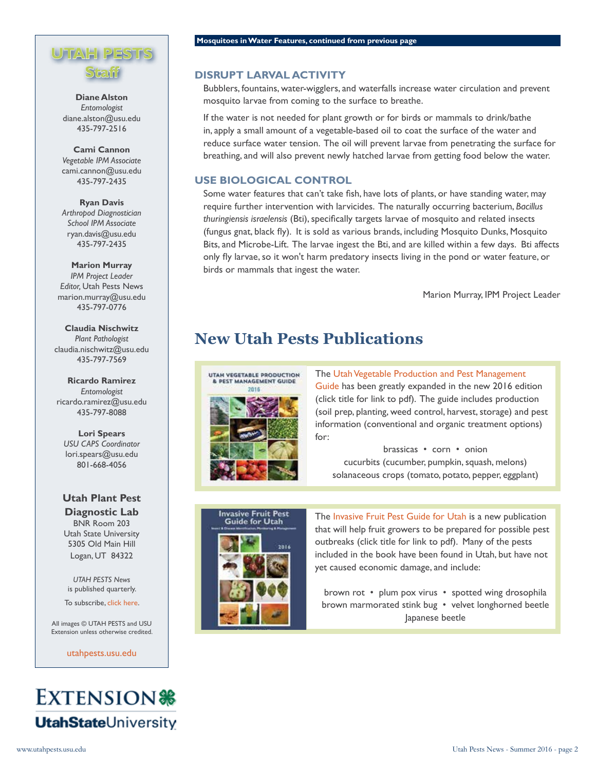# **UTAH PESTS Staff**

**Diane Alston** *Entomologist* diane.alston@usu.edu 435-797-2516

**Cami Cannon** *Vegetable IPM Associate* cami.cannon@usu.edu 435-797-2435

**Ryan Davis**  *Arthropod Diagnostician School IPM Associate* ryan.davis@usu.edu 435-797-2435

**Marion Murray** *IPM Project Leader Editor,* Utah Pests News marion.murray@usu.edu 435-797-0776

**Claudia Nischwitz** *Plant Pathologist* claudia.nischwitz@usu.edu 435-797-7569

**Ricardo Ramirez** *Entomologist* ricardo.ramirez@usu.edu 435-797-8088

**Lori Spears** *USU CAPS Coordinator* lori.spears@usu.edu 801-668-4056

**Utah Plant Pest Diagnostic Lab** BNR Room 203 Utah State University 5305 Old Main Hill Logan, UT 84322

*UTAH PESTS News* is published quarterly.

To subscribe, [click here.](http://utahpests.usu.edu/ipm/htm/subscriptions)

All images © UTAH PESTS and USU Extension unless otherwise credited.

[utahpests.usu.edu](http://utahpests.usu.edu/)



#### **Mosquitoes in Water Features, continued from previous page**

### **DISRUPT LARVAL ACTIVITY**

Bubblers, fountains, water-wigglers, and waterfalls increase water circulation and prevent mosquito larvae from coming to the surface to breathe.

If the water is not needed for plant growth or for birds or mammals to drink/bathe in, apply a small amount of a vegetable-based oil to coat the surface of the water and reduce surface water tension. The oil will prevent larvae from penetrating the surface for breathing, and will also prevent newly hatched larvae from getting food below the water.

### **USE BIOLOGICAL CONTROL**

Some water features that can't take fish, have lots of plants, or have standing water, may require further intervention with larvicides. The naturally occurring bacterium, *Bacillus thuringiensis israelensis* (Bti), specifically targets larvae of mosquito and related insects (fungus gnat, black fly). It is sold as various brands, including Mosquito Dunks, Mosquito Bits, and Microbe-Lift. The larvae ingest the Bti, and are killed within a few days. Bti affects only fly larvae, so it won't harm predatory insects living in the pond or water feature, or birds or mammals that ingest the water.

Marion Murray, IPM Project Leader

# **New Utah Pests Publications**



The Utah Vegetable Production and Pest Management [Guide](http://utahpests.usu.edu/IPM/files/uploads/Publications/UT-veg-guide-2016.pdf) has been greatly expanded in the new 2016 edition (click title for link to pdf). The guide includes production (soil prep, planting, weed control, harvest, storage) and pest information (conventional and organic treatment options) for:

brassicas • corn • onion cucurbits (cucumber, pumpkin, squash, melons) solanaceous crops (tomato, potato, pepper, eggplant)



The [Invasive Fruit Pest Guide for Utah](http://utahpests.usu.edu/IPM/files/uploads/Publications/UT-invasive-fruit-pest-guide-2016.pdf) is a new publication that will help fruit growers to be prepared for possible pest outbreaks (click title for link to pdf). Many of the pests included in the book have been found in Utah, but have not yet caused economic damage, and include:

brown rot • plum pox virus • spotted wing drosophila brown marmorated stink bug • velvet longhorned beetle Japanese beetle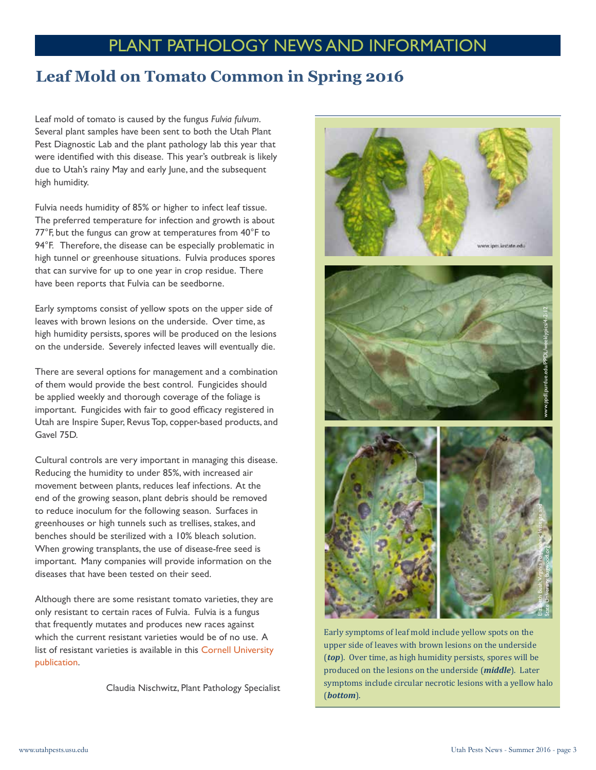# PLANT PATHOLOGY NEWS AND INFORMATION

### **Leaf Mold on Tomato Common in Spring 2016**

Leaf mold of tomato is caused by the fungus *Fulvia fulvum*. Several plant samples have been sent to both the Utah Plant Pest Diagnostic Lab and the plant pathology lab this year that were identified with this disease. This year's outbreak is likely due to Utah's rainy May and early June, and the subsequent high humidity.

Fulvia needs humidity of 85% or higher to infect leaf tissue. The preferred temperature for infection and growth is about 77°F, but the fungus can grow at temperatures from 40°F to 94°F. Therefore, the disease can be especially problematic in high tunnel or greenhouse situations. Fulvia produces spores that can survive for up to one year in crop residue. There have been reports that Fulvia can be seedborne.

Early symptoms consist of yellow spots on the upper side of leaves with brown lesions on the underside. Over time, as high humidity persists, spores will be produced on the lesions on the underside. Severely infected leaves will eventually die.

There are several options for management and a combination of them would provide the best control. Fungicides should be applied weekly and thorough coverage of the foliage is important. Fungicides with fair to good efficacy registered in Utah are Inspire Super, Revus Top, copper-based products, and Gavel 75D.

Cultural controls are very important in managing this disease. Reducing the humidity to under 85%, with increased air movement between plants, reduces leaf infections. At the end of the growing season, plant debris should be removed to reduce inoculum for the following season. Surfaces in greenhouses or high tunnels such as trellises, stakes, and benches should be sterilized with a 10% bleach solution. When growing transplants, the use of disease-free seed is important. Many companies will provide information on the diseases that have been tested on their seed.

Although there are some resistant tomato varieties, they are only resistant to certain races of Fulvia. Fulvia is a fungus that frequently mutates and produces new races against which the current resistant varieties would be of no use. A list of resistant varieties is available in this [Cornell University](http://vegetablemdonline.ppath.cornell.edu/NewsArticles/TMV%20and%20Leaf%20Mold%20Variety%20List.pdf)  [publication](http://vegetablemdonline.ppath.cornell.edu/NewsArticles/TMV%20and%20Leaf%20Mold%20Variety%20List.pdf).

Claudia Nischwitz, Plant Pathology Specialist



Early symptoms of leaf mold include yellow spots on the upper side of leaves with brown lesions on the underside (*top*). Over time, as high humidity persists, spores will be produced on the lesions on the underside (*middle*). Later symptoms include circular necrotic lesions with a yellow halo (*bottom*).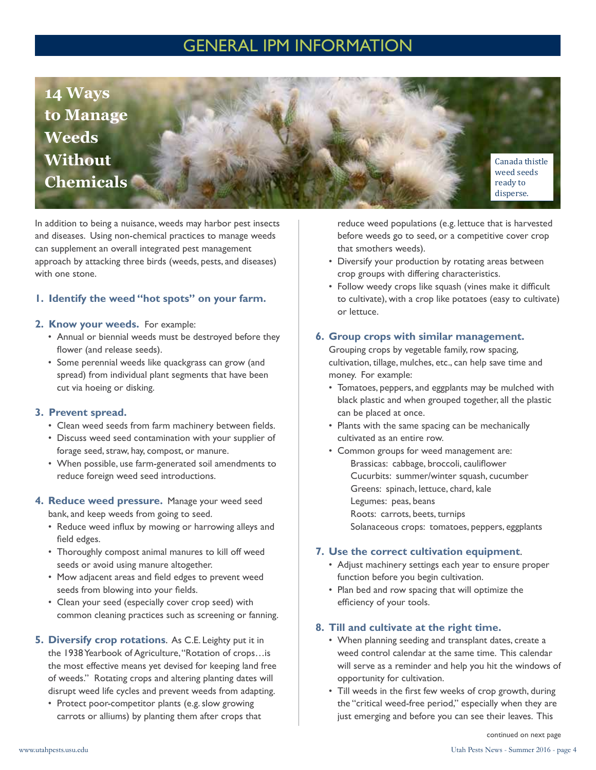# GENERAL IPM INFORMATION



In addition to being a nuisance, weeds may harbor pest insects and diseases. Using non-chemical practices to manage weeds can supplement an overall integrated pest management approach by attacking three birds (weeds, pests, and diseases) with one stone.

### **1. Identify the weed "hot spots" on your farm.**

### **2. Know your weeds.** For example:

- Annual or biennial weeds must be destroyed before they flower (and release seeds).
- Some perennial weeds like quackgrass can grow (and spread) from individual plant segments that have been cut via hoeing or disking.

### **3. Prevent spread.**

- Clean weed seeds from farm machinery between fields.
- Discuss weed seed contamination with your supplier of forage seed, straw, hay, compost, or manure.
- When possible, use farm-generated soil amendments to reduce foreign weed seed introductions.

### **4. Reduce weed pressure.** Manage your weed seed bank, and keep weeds from going to seed.

- Reduce weed influx by mowing or harrowing alleys and field edges.
- Thoroughly compost animal manures to kill off weed seeds or avoid using manure altogether.
- Mow adjacent areas and field edges to prevent weed seeds from blowing into your fields.
- Clean your seed (especially cover crop seed) with common cleaning practices such as screening or fanning.
- **5. Diversify crop rotations**. As C.E. Leighty put it in the 1938 Yearbook of Agriculture, "Rotation of crops…is the most effective means yet devised for keeping land free of weeds." Rotating crops and altering planting dates will disrupt weed life cycles and prevent weeds from adapting.
	- Protect poor-competitor plants (e.g. slow growing carrots or alliums) by planting them after crops that

reduce weed populations (e.g. lettuce that is harvested before weeds go to seed, or a competitive cover crop that smothers weeds).

- Diversify your production by rotating areas between crop groups with differing characteristics.
- Follow weedy crops like squash (vines make it difficult to cultivate), with a crop like potatoes (easy to cultivate) or lettuce.

### **6. Group crops with similar management.**

Grouping crops by vegetable family, row spacing, cultivation, tillage, mulches, etc., can help save time and money. For example:

- Tomatoes, peppers, and eggplants may be mulched with black plastic and when grouped together, all the plastic can be placed at once.
- Plants with the same spacing can be mechanically cultivated as an entire row.
- Common groups for weed management are: Brassicas: cabbage, broccoli, cauliflower Cucurbits: summer/winter squash, cucumber Greens: spinach, lettuce, chard, kale Legumes: peas, beans Roots: carrots, beets, turnips Solanaceous crops: tomatoes, peppers, eggplants

### **7. Use the correct cultivation equipment**.

- Adjust machinery settings each year to ensure proper function before you begin cultivation.
- Plan bed and row spacing that will optimize the efficiency of your tools.

### **8. Till and cultivate at the right time.**

- When planning seeding and transplant dates, create a weed control calendar at the same time. This calendar will serve as a reminder and help you hit the windows of opportunity for cultivation.
- Till weeds in the first few weeks of crop growth, during the "critical weed-free period," especially when they are just emerging and before you can see their leaves. This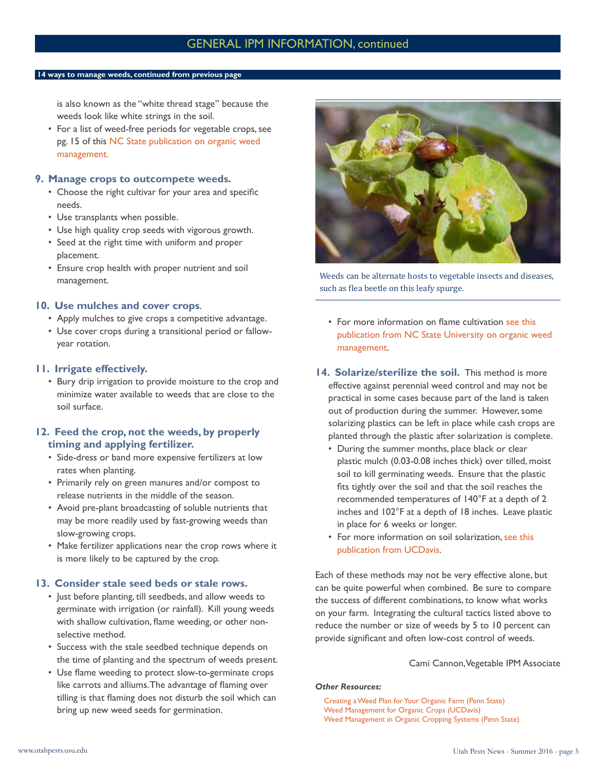### GENERAL IPM INFORMATION, continued

#### **14 ways to manage weeds, continued from previous page**

is also known as the "white thread stage" because the weeds look like white strings in the soil.

• For a list of weed-free periods for vegetable crops, see pg. 15 of this [NC State publication on organic weed](http://content.ces.ncsu.edu/weed-management-on-organic-farms)  [management.](http://content.ces.ncsu.edu/weed-management-on-organic-farms)

### **9. Manage crops to outcompete weeds.**

- Choose the right cultivar for your area and specific needs.
- Use transplants when possible.
- Use high quality crop seeds with vigorous growth.
- Seed at the right time with uniform and proper placement.
- Ensure crop health with proper nutrient and soil management.

### **10. Use mulches and cover crops**.

- Apply mulches to give crops a competitive advantage.
- Use cover crops during a transitional period or fallowyear rotation.

### **11. Irrigate effectively.**

• Bury drip irrigation to provide moisture to the crop and minimize water available to weeds that are close to the soil surface.

### **12. Feed the crop, not the weeds, by properly timing and applying fertilizer.**

- Side-dress or band more expensive fertilizers at low rates when planting.
- Primarily rely on green manures and/or compost to release nutrients in the middle of the season.
- Avoid pre-plant broadcasting of soluble nutrients that may be more readily used by fast-growing weeds than slow-growing crops.
- Make fertilizer applications near the crop rows where it is more likely to be captured by the crop.

### **13. Consider stale seed beds or stale rows.**

- Just before planting, till seedbeds, and allow weeds to germinate with irrigation (or rainfall). Kill young weeds with shallow cultivation, flame weeding, or other nonselective method.
- Success with the stale seedbed technique depends on the time of planting and the spectrum of weeds present.
- Use flame weeding to protect slow-to-germinate crops like carrots and alliums. The advantage of flaming over tilling is that flaming does not disturb the soil which can bring up new weed seeds for germination.



Weeds can be alternate hosts to vegetable insects and diseases, such as flea beetle on this leafy spurge.

- For more information on flame cultivation [see this](http://content.ces.ncsu.edu/weed-management-on-organic-farms)  [publication from NC State University](http://content.ces.ncsu.edu/weed-management-on-organic-farms) on organic weed management.
- **14. Solarize/sterilize the soil.** This method is more effective against perennial weed control and may not be practical in some cases because part of the land is taken out of production during the summer. However, some solarizing plastics can be left in place while cash crops are planted through the plastic after solarization is complete.
	- During the summer months, place black or clear plastic mulch (0.03-0.08 inches thick) over tilled, moist soil to kill germinating weeds. Ensure that the plastic fits tightly over the soil and that the soil reaches the recommended temperatures of 140°F at a depth of 2 inches and 102°F at a depth of 18 inches. Leave plastic in place for 6 weeks or longer.
	- For more information on soil solarization, [see this](http://vric.ucdavis.edu/pdf/soil_solarization.pdf)  [publication from UCDavis.](http://vric.ucdavis.edu/pdf/soil_solarization.pdf)

Each of these methods may not be very effective alone, but can be quite powerful when combined. Be sure to compare the success of different combinations, to know what works on your farm. Integrating the cultural tactics listed above to reduce the number or size of weeds by 5 to 10 percent can provide significant and often low-cost control of weeds.

### Cami Cannon, Vegetable IPM Associate

#### *Other Resources:*

[Creating a Weed Plan for Your Organic Farm \(Penn State\)](http://extension.psu.edu/business/start-farming/vegetables/factsheets/creating-a-weed-management-plan-for-your-organic-farm) [Weed Management for Organic Crops \(UCDavis\)](http://anrcatalog.ucanr.edu/pdf/7250.pdf) [Weed Management in Organic Cropping Systems \(Penn State\)](http://extension.psu.edu/pests/weeds/organic/weed-management-in-organic-cropping-systems)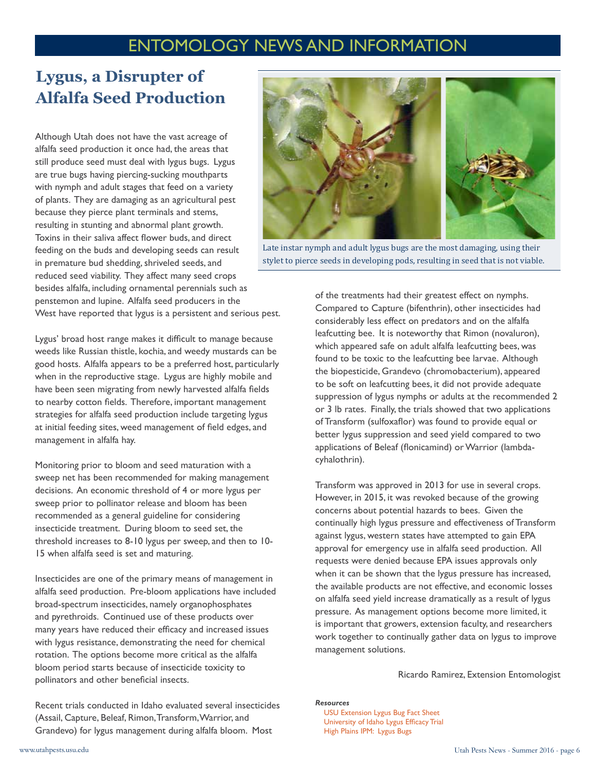# ENTOMOLOGY NEWS AND INFORMATION

# **Lygus, a Disrupter of Alfalfa Seed Production**

Although Utah does not have the vast acreage of alfalfa seed production it once had, the areas that still produce seed must deal with lygus bugs. Lygus are true bugs having piercing-sucking mouthparts with nymph and adult stages that feed on a variety of plants. They are damaging as an agricultural pest because they pierce plant terminals and stems, resulting in stunting and abnormal plant growth. Toxins in their saliva affect flower buds, and direct feeding on the buds and developing seeds can result in premature bud shedding, shriveled seeds, and reduced seed viability. They affect many seed crops besides alfalfa, including ornamental perennials such as penstemon and lupine. Alfalfa seed producers in the West have reported that lygus is a persistent and serious pest.

Lygus' broad host range makes it difficult to manage because weeds like Russian thistle, kochia, and weedy mustards can be good hosts. Alfalfa appears to be a preferred host, particularly when in the reproductive stage. Lygus are highly mobile and have been seen migrating from newly harvested alfalfa fields to nearby cotton fields. Therefore, important management strategies for alfalfa seed production include targeting lygus at initial feeding sites, weed management of field edges, and management in alfalfa hay.

Monitoring prior to bloom and seed maturation with a sweep net has been recommended for making management decisions. An economic threshold of 4 or more lygus per sweep prior to pollinator release and bloom has been recommended as a general guideline for considering insecticide treatment. During bloom to seed set, the threshold increases to 8-10 lygus per sweep, and then to 10- 15 when alfalfa seed is set and maturing.

Insecticides are one of the primary means of management in alfalfa seed production. Pre-bloom applications have included broad-spectrum insecticides, namely organophosphates and pyrethroids. Continued use of these products over many years have reduced their efficacy and increased issues with lygus resistance, demonstrating the need for chemical rotation. The options become more critical as the alfalfa bloom period starts because of insecticide toxicity to pollinators and other beneficial insects.

Recent trials conducted in Idaho evaluated several insecticides (Assail, Capture, Beleaf, Rimon, Transform, Warrior, and Grandevo) for lygus management during alfalfa bloom. Most





Late instar nymph and adult lygus bugs are the most damaging, using their stylet to pierce seeds in developing pods, resulting in seed that is not viable.

of the treatments had their greatest effect on nymphs. Compared to Capture (bifenthrin), other insecticides had considerably less effect on predators and on the alfalfa leafcutting bee. It is noteworthy that Rimon (novaluron), which appeared safe on adult alfalfa leafcutting bees, was found to be toxic to the leafcutting bee larvae. Although the biopesticide, Grandevo (chromobacterium), appeared to be soft on leafcutting bees, it did not provide adequate suppression of lygus nymphs or adults at the recommended 2 or 3 lb rates. Finally, the trials showed that two applications of Transform (sulfoxaflor) was found to provide equal or better lygus suppression and seed yield compared to two applications of Beleaf (flonicamind) or Warrior (lambdacyhalothrin).

Transform was approved in 2013 for use in several crops. However, in 2015, it was revoked because of the growing concerns about potential hazards to bees. Given the continually high lygus pressure and effectiveness of Transform against lygus, western states have attempted to gain EPA approval for emergency use in alfalfa seed production. All requests were denied because EPA issues approvals only when it can be shown that the lygus pressure has increased, the available products are not effective, and economic losses on alfalfa seed yield increase dramatically as a result of lygus pressure. As management options become more limited, it is important that growers, extension faculty, and researchers work together to continually gather data on lygus to improve management solutions.

Ricardo Ramirez, Extension Entomologist

#### *Resources*

[USU Extension Lygus Bug Fact Sheet](http://extension.usu.edu/files/publications/factsheet/lygus-bugs-alfalfa07.pdf) [University of Idaho Lygus Efficacy Trial](http://pnwpestalert.net/uploads/meetings/3--Barbour-Lygus.pdf) [High Plains IPM: Lygus Bugs](http://agresearch.montana.edu/wtarc/producerinfo/entomology-insect-ecology/LygusBug/HighPlainsIPM.pdf)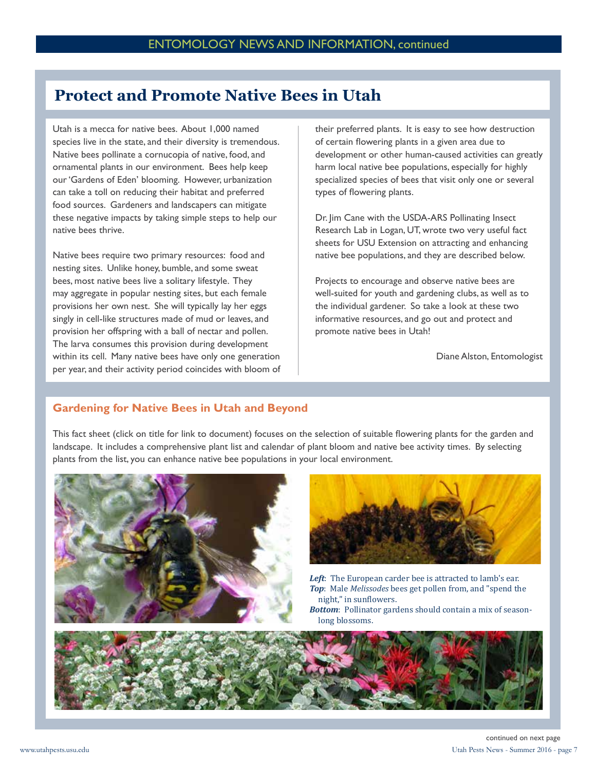### **Protect and Promote Native Bees in Utah**

Utah is a mecca for native bees. About 1,000 named species live in the state, and their diversity is tremendous. Native bees pollinate a cornucopia of native, food, and ornamental plants in our environment. Bees help keep our 'Gardens of Eden' blooming. However, urbanization can take a toll on reducing their habitat and preferred food sources. Gardeners and landscapers can mitigate these negative impacts by taking simple steps to help our native bees thrive.

Native bees require two primary resources: food and nesting sites. Unlike honey, bumble, and some sweat bees, most native bees live a solitary lifestyle. They may aggregate in popular nesting sites, but each female provisions her own nest. She will typically lay her eggs singly in cell-like structures made of mud or leaves, and provision her offspring with a ball of nectar and pollen. The larva consumes this provision during development within its cell. Many native bees have only one generation per year, and their activity period coincides with bloom of their preferred plants. It is easy to see how destruction of certain flowering plants in a given area due to development or other human-caused activities can greatly harm local native bee populations, especially for highly specialized species of bees that visit only one or several types of flowering plants.

Dr. Jim Cane with the USDA-ARS Pollinating Insect Research Lab in Logan, UT, wrote two very useful fact sheets for USU Extension on attracting and enhancing native bee populations, and they are described below.

Projects to encourage and observe native bees are well-suited for youth and gardening clubs, as well as to the individual gardener. So take a look at these two informative resources, and go out and protect and promote native bees in Utah!

Diane Alston, Entomologist

### **[Gardening for Native Bees in Utah and Beyond](http://extension.usu.edu/files/publications/factsheet/plants-pollinators09.pdf)**

This fact sheet (click on title for link to document) focuses on the selection of suitable flowering plants for the garden and landscape. It includes a comprehensive plant list and calendar of plant bloom and native bee activity times. By selecting plants from the list, you can enhance native bee populations in your local environment.





*Left*: The European carder bee is attracted to lamb's ear. *Top*: Male *Melissodes* bees get pollen from, and "spend the night," in sunflowers.

*Bottom*: Pollinator gardens should contain a mix of seasonlong blossoms.

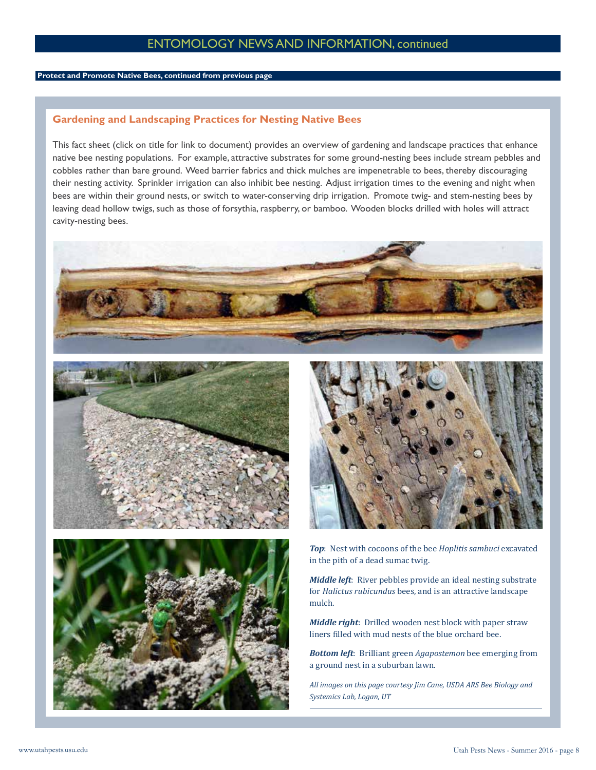### ENTOMOLOGY NEWS AND INFORMATION, continued

### **Protect and Promote Native Bees, continued from previous page**

### **[Gardening and Landscaping Practices for Nesting Native Bees](http://extension.usu.edu/files/publications/factsheet/ENT-175-15.pdf)**

This fact sheet (click on title for link to document) provides an overview of gardening and landscape practices that enhance native bee nesting populations. For example, attractive substrates for some ground-nesting bees include stream pebbles and cobbles rather than bare ground. Weed barrier fabrics and thick mulches are impenetrable to bees, thereby discouraging their nesting activity. Sprinkler irrigation can also inhibit bee nesting. Adjust irrigation times to the evening and night when bees are within their ground nests, or switch to water-conserving drip irrigation. Promote twig- and stem-nesting bees by leaving dead hollow twigs, such as those of forsythia, raspberry, or bamboo. Wooden blocks drilled with holes will attract cavity-nesting bees.









*Top*: Nest with cocoons of the bee *Hoplitis sambuci* excavated in the pith of a dead sumac twig.

*Middle left*: River pebbles provide an ideal nesting substrate for *Halictus rubicundus* bees, and is an attractive landscape mulch.

*Middle right*: Drilled wooden nest block with paper straw liners filled with mud nests of the blue orchard bee.

*Bottom left*: Brilliant green *Agapostemon* bee emerging from a ground nest in a suburban lawn.

*All images on this page courtesy Jim Cane, USDA ARS Bee Biology and Systemics Lab, Logan, UT*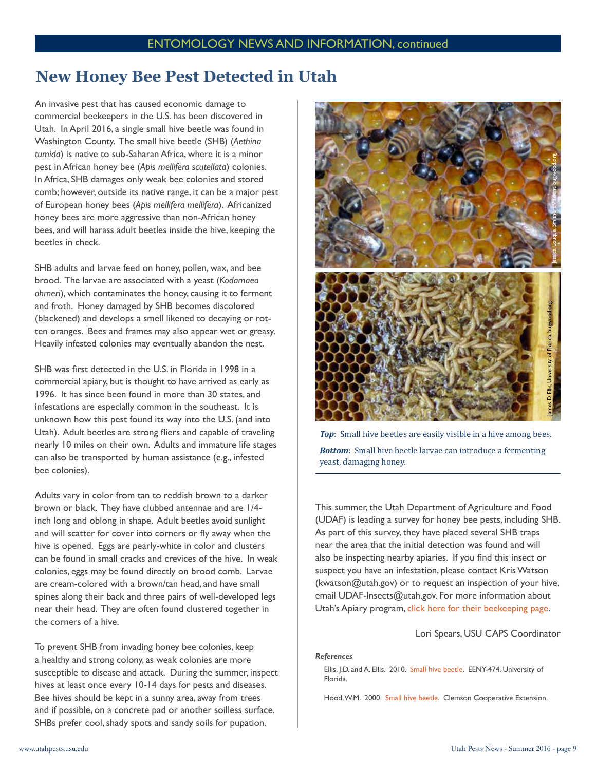### **New Honey Bee Pest Detected in Utah**

An invasive pest that has caused economic damage to commercial beekeepers in the U.S. has been discovered in Utah. In April 2016, a single small hive beetle was found in Washington County. The small hive beetle (SHB) (*Aethina tumida*) is native to sub-Saharan Africa, where it is a minor pest in African honey bee (*Apis mellifera scutellata*) colonies. In Africa, SHB damages only weak bee colonies and stored comb; however, outside its native range, it can be a major pest of European honey bees (*Apis mellifera mellifera*). Africanized honey bees are more aggressive than non-African honey bees, and will harass adult beetles inside the hive, keeping the beetles in check.

SHB adults and larvae feed on honey, pollen, wax, and bee brood. The larvae are associated with a yeast (*Kodamaea ohmeri*), which contaminates the honey, causing it to ferment and froth. Honey damaged by SHB becomes discolored (blackened) and develops a smell likened to decaying or rotten oranges. Bees and frames may also appear wet or greasy. Heavily infested colonies may eventually abandon the nest.

SHB was first detected in the U.S. in Florida in 1998 in a commercial apiary, but is thought to have arrived as early as 1996. It has since been found in more than 30 states, and infestations are especially common in the southeast. It is unknown how this pest found its way into the U.S. (and into Utah). Adult beetles are strong fliers and capable of traveling nearly 10 miles on their own. Adults and immature life stages can also be transported by human assistance (e.g., infested bee colonies).

Adults vary in color from tan to reddish brown to a darker brown or black. They have clubbed antennae and are 1/4 inch long and oblong in shape. Adult beetles avoid sunlight and will scatter for cover into corners or fly away when the hive is opened. Eggs are pearly-white in color and clusters can be found in small cracks and crevices of the hive. In weak colonies, eggs may be found directly on brood comb. Larvae are cream-colored with a brown/tan head, and have small spines along their back and three pairs of well-developed legs near their head. They are often found clustered together in the corners of a hive.

To prevent SHB from invading honey bee colonies, keep a healthy and strong colony, as weak colonies are more susceptible to disease and attack. During the summer, inspect hives at least once every 10-14 days for pests and diseases. Bee hives should be kept in a sunny area, away from trees and if possible, on a concrete pad or another soilless surface. SHBs prefer cool, shady spots and sandy soils for pupation.



*Top*: Small hive beetles are easily visible in a hive among bees. *Bottom*: Small hive beetle larvae can introduce a fermenting yeast, damaging honey.

This summer, the Utah Department of Agriculture and Food (UDAF) is leading a survey for honey bee pests, including SHB. As part of this survey, they have placed several SHB traps near the area that the initial detection was found and will also be inspecting nearby apiaries. If you find this insect or suspect you have an infestation, please contact Kris Watson (kwatson@utah.gov) or to request an inspection of your hive, email UDAF-Insects@utah.gov. For more information about Utah's Apiary program, [click here for their beekeeping page.](http://ag.utah.gov/plants-pests/beekeeping.html)

Lori Spears, USU CAPS Coordinator

### *References*

Ellis, J.D. and A. Ellis. 2010. [Small hive beetle.](http://entnemdept.ufl.edu/creatures/misc/bees/small_hive_beetle.htm) EENY-474. University of Florida.

Hood, W.M. 2000. [Small hive beetle](http://www.clemson.edu/extension/beekeepers/factsheets/small_hive_beetle.pdf). Clemson Cooperative Extension.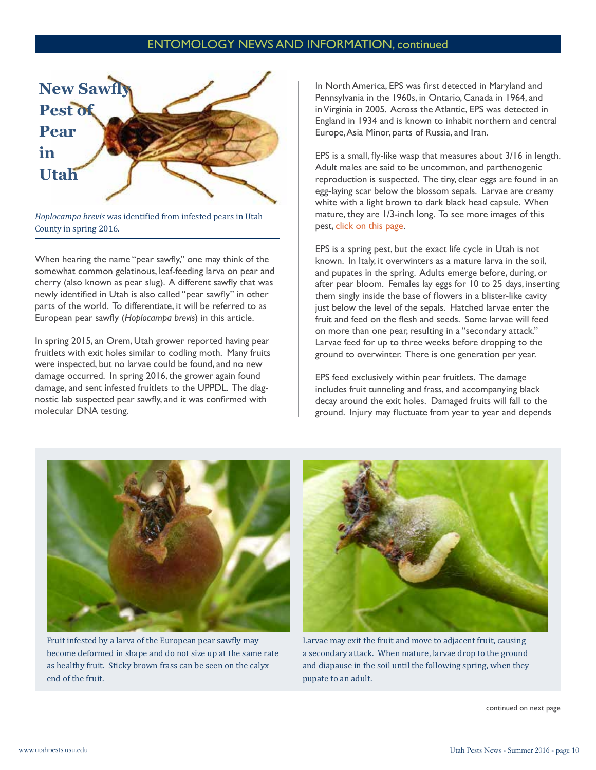### ENTOMOLOGY NEWS AND INFORMATION, continued



*Hoplocampa brevis* was identified from infested pears in Utah County in spring 2016.

When hearing the name "pear sawfly," one may think of the somewhat common gelatinous, leaf-feeding larva on pear and cherry (also known as pear slug). A different sawfly that was newly identified in Utah is also called "pear sawfly" in other parts of the world. To differentiate, it will be referred to as European pear sawfly (*Hoplocampa brevis*) in this article.

In spring 2015, an Orem, Utah grower reported having pear fruitlets with exit holes similar to codling moth. Many fruits were inspected, but no larvae could be found, and no new damage occurred. In spring 2016, the grower again found damage, and sent infested fruitlets to the UPPDL. The diagnostic lab suspected pear sawfly, and it was confirmed with molecular DNA testing.

In North America, EPS was first detected in Maryland and Pennsylvania in the 1960s, in Ontario, Canada in 1964, and in Virginia in 2005. Across the Atlantic, EPS was detected in England in 1934 and is known to inhabit northern and central Europe, Asia Minor, parts of Russia, and Iran.

EPS is a small, fly-like wasp that measures about 3/16 in length. Adult males are said to be uncommon, and parthenogenic reproduction is suspected. The tiny, clear eggs are found in an egg-laying scar below the blossom sepals. Larvae are creamy white with a light brown to dark black head capsule. When mature, they are 1/3-inch long. To see more images of this pest, [click on this page.](http://www.efa-dip.org/en/servicios/Galeria/index.asp?action=displayfiles&item=%2Fcomun%2Fservicios%2Fgaleria%2FPLAGAS+Y+ENFERMEDADES+-+PESTS+AND+DESEASES+-+PRAGAS+E+ENFERMIDADES%2FPeral+-+Pear+tree+-+Pereira%2FHoplocampa/)

EPS is a spring pest, but the exact life cycle in Utah is not known. In Italy, it overwinters as a mature larva in the soil, and pupates in the spring. Adults emerge before, during, or after pear bloom. Females lay eggs for 10 to 25 days, inserting them singly inside the base of flowers in a blister-like cavity just below the level of the sepals. Hatched larvae enter the fruit and feed on the flesh and seeds. Some larvae will feed on more than one pear, resulting in a "secondary attack." Larvae feed for up to three weeks before dropping to the ground to overwinter. There is one generation per year.

EPS feed exclusively within pear fruitlets. The damage includes fruit tunneling and frass, and accompanying black decay around the exit holes. Damaged fruits will fall to the ground. Injury may fluctuate from year to year and depends



Fruit infested by a larva of the European pear sawfly may become deformed in shape and do not size up at the same rate as healthy fruit. Sticky brown frass can be seen on the calyx end of the fruit.



Larvae may exit the fruit and move to adjacent fruit, causing a secondary attack. When mature, larvae drop to the ground and diapause in the soil until the following spring, when they pupate to an adult.

continued on next page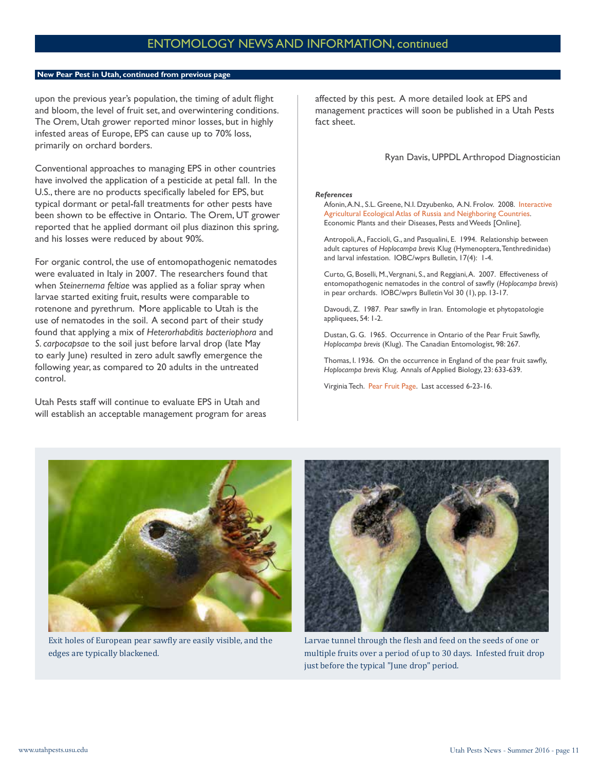### **New Pear Pest in Utah, continued from previous page**

upon the previous year's population, the timing of adult flight and bloom, the level of fruit set, and overwintering conditions. The Orem, Utah grower reported minor losses, but in highly infested areas of Europe, EPS can cause up to 70% loss, primarily on orchard borders.

Conventional approaches to managing EPS in other countries have involved the application of a pesticide at petal fall. In the U.S., there are no products specifically labeled for EPS, but typical dormant or petal-fall treatments for other pests have been shown to be effective in Ontario. The Orem, UT grower reported that he applied dormant oil plus diazinon this spring, and his losses were reduced by about 90%.

For organic control, the use of entomopathogenic nematodes were evaluated in Italy in 2007. The researchers found that when *Steinernema feltiae* was applied as a foliar spray when larvae started exiting fruit, results were comparable to rotenone and pyrethrum. More applicable to Utah is the use of nematodes in the soil. A second part of their study found that applying a mix of *Heterorhabditis bacteriophora* and *S. carpocapsae* to the soil just before larval drop (late May to early June) resulted in zero adult sawfly emergence the following year, as compared to 20 adults in the untreated control.

Utah Pests staff will continue to evaluate EPS in Utah and will establish an acceptable management program for areas affected by this pest. A more detailed look at EPS and management practices will soon be published in a Utah Pests fact sheet.

### Ryan Davis, UPPDL Arthropod Diagnostician

#### *References*

Afonin, A.N., S.L. Greene, N.I. Dzyubenko, A.N. Frolov. 2008. [Interactive](http://www.agroatlas.ru/)  [Agricultural Ecological Atlas of Russia and Neighboring Countries](http://www.agroatlas.ru/). Economic Plants and their Diseases, Pests and Weeds [Online].

Antropoli, A., Faccioli, G., and Pasqualini, E. 1994. Relationship between adult captures of *Hoplocampa brevis* Klug (Hymenoptera, Tenthredinidae) and larval infestation. IOBC/wprs Bulletin, 17(4): 1-4.

Curto, G, Boselli, M., Vergnani, S., and Reggiani, A. 2007. Effectiveness of entomopathogenic nematodes in the control of sawfly (*Hoplocampa brevis*) in pear orchards. IOBC/wprs Bulletin Vol 30 (1), pp. 13-17.

Davoudi, Z. 1987. Pear sawfly in Iran. Entomologie et phytopatologie appliquees, 54: 1-2.

Dustan, G. G. 1965. Occurrence in Ontario of the Pear Fruit Sawfly, *Hoplocampa brevis* (Klug). The Canadian Entomologist, 98: 267.

Thomas, I. 1936. On the occurrence in England of the pear fruit sawfly, *Hoplocampa brevis* Klug. Annals of Applied Biology, 23: 633-639.

Virginia Tech. [Pear Fruit Page.](http://www.virginiafruit.ento.vt.edu/pearsawfly.html) Last accessed 6-23-16.



Exit holes of European pear sawfly are easily visible, and the edges are typically blackened.



Larvae tunnel through the flesh and feed on the seeds of one or multiple fruits over a period of up to 30 days. Infested fruit drop just before the typical "June drop" period.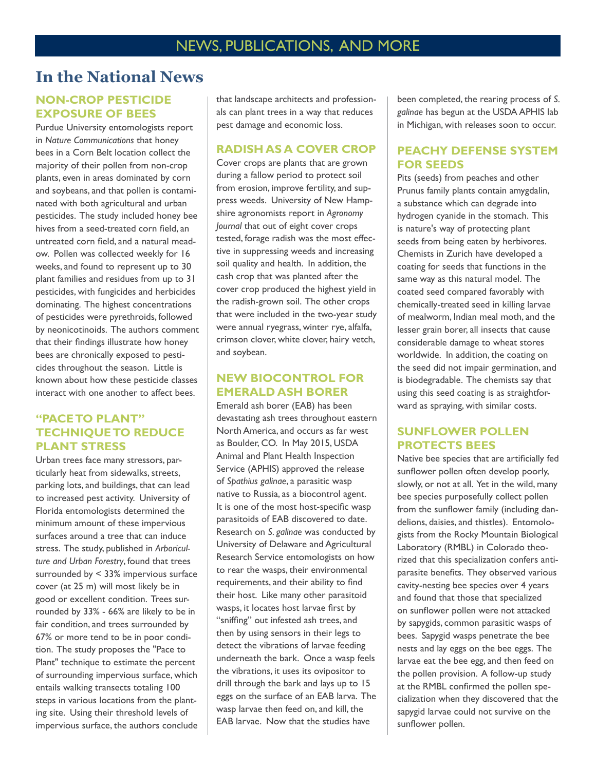### **In the National News**

### **NON-CROP PESTICIDE EXPOSURE OF BEES**

Purdue University entomologists report in *Nature Communications* that honey bees in a Corn Belt location collect the majority of their pollen from non-crop plants, even in areas dominated by corn and soybeans, and that pollen is contaminated with both agricultural and urban pesticides. The study included honey bee hives from a seed-treated corn field, an untreated corn field, and a natural meadow. Pollen was collected weekly for 16 weeks, and found to represent up to 30 plant families and residues from up to 31 pesticides, with fungicides and herbicides dominating. The highest concentrations of pesticides were pyrethroids, followed by neonicotinoids. The authors comment that their findings illustrate how honey bees are chronically exposed to pesticides throughout the season. Little is known about how these pesticide classes interact with one another to affect bees.

### **"PACE TO PLANT" TECHNIQUE TO REDUCE PLANT STRESS**

Urban trees face many stressors, particularly heat from sidewalks, streets, parking lots, and buildings, that can lead to increased pest activity. University of Florida entomologists determined the minimum amount of these impervious surfaces around a tree that can induce stress. The study, published in *Arboriculture and Urban Forestry*, found that trees surrounded by < 33% impervious surface cover (at 25 m) will most likely be in good or excellent condition. Trees surrounded by 33% - 66% are likely to be in fair condition, and trees surrounded by 67% or more tend to be in poor condition. The study proposes the "Pace to Plant" technique to estimate the percent of surrounding impervious surface, which entails walking transects totaling 100 steps in various locations from the planting site. Using their threshold levels of impervious surface, the authors conclude that landscape architects and professionals can plant trees in a way that reduces pest damage and economic loss.

### **RADISH AS A COVER CROP**

Cover crops are plants that are grown during a fallow period to protect soil from erosion, improve fertility, and suppress weeds. University of New Hampshire agronomists report in *Agronomy Journal* that out of eight cover crops tested, forage radish was the most effective in suppressing weeds and increasing soil quality and health. In addition, the cash crop that was planted after the cover crop produced the highest yield in the radish-grown soil. The other crops that were included in the two-year study were annual ryegrass, winter rye, alfalfa, crimson clover, white clover, hairy vetch, and soybean.

### **NEW BIOCONTROL FOR EMERALD ASH BORER**

Emerald ash borer (EAB) has been devastating ash trees throughout eastern North America, and occurs as far west as Boulder, CO. In May 2015, USDA Animal and Plant Health Inspection Service (APHIS) approved the release of *Spathius galinae*, a parasitic wasp native to Russia, as a biocontrol agent. It is one of the most host-specific wasp parasitoids of EAB discovered to date. Research on *S. galinae* was conducted by University of Delaware and Agricultural Research Service entomologists on how to rear the wasps, their environmental requirements, and their ability to find their host. Like many other parasitoid wasps, it locates host larvae first by "sniffing" out infested ash trees, and then by using sensors in their legs to detect the vibrations of larvae feeding underneath the bark. Once a wasp feels the vibrations, it uses its ovipositor to drill through the bark and lays up to 15 eggs on the surface of an EAB larva. The wasp larvae then feed on, and kill, the EAB larvae. Now that the studies have

been completed, the rearing process of *S. galinae* has begun at the USDA APHIS lab in Michigan, with releases soon to occur.

### **PEACHY DEFENSE SYSTEM FOR SEEDS**

Pits (seeds) from peaches and other Prunus family plants contain amygdalin, a substance which can degrade into hydrogen cyanide in the stomach. This is nature's way of protecting plant seeds from being eaten by herbivores. Chemists in Zurich have developed a coating for seeds that functions in the same way as this natural model. The coated seed compared favorably with chemically-treated seed in killing larvae of mealworm, Indian meal moth, and the lesser grain borer, all insects that cause considerable damage to wheat stores worldwide. In addition, the coating on the seed did not impair germination, and is biodegradable. The chemists say that using this seed coating is as straightforward as spraying, with similar costs.

### **SUNFLOWER POLLEN PROTECTS BEES**

Native bee species that are artificially fed sunflower pollen often develop poorly, slowly, or not at all. Yet in the wild, many bee species purposefully collect pollen from the sunflower family (including dandelions, daisies, and thistles). Entomologists from the Rocky Mountain Biological Laboratory (RMBL) in Colorado theorized that this specialization confers antiparasite benefits. They observed various cavity-nesting bee species over 4 years and found that those that specialized on sunflower pollen were not attacked by sapygids, common parasitic wasps of bees. Sapygid wasps penetrate the bee nests and lay eggs on the bee eggs. The larvae eat the bee egg, and then feed on the pollen provision. A follow-up study at the RMBL confirmed the pollen specialization when they discovered that the sapygid larvae could not survive on the sunflower pollen.